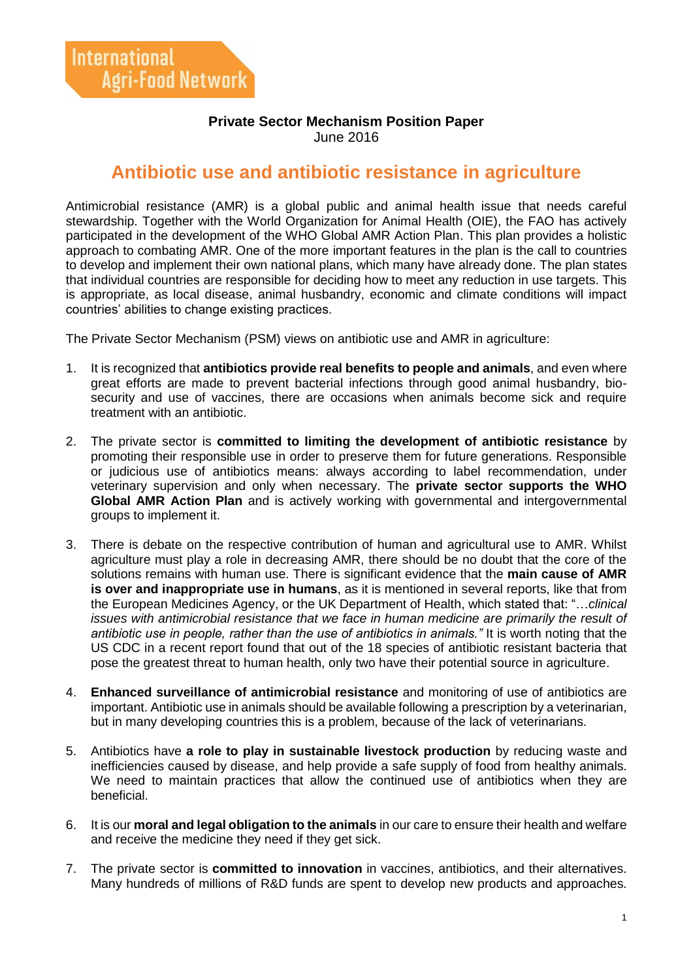## **Private Sector Mechanism Position Paper** June 2016

## **Antibiotic use and antibiotic resistance in agriculture**

Antimicrobial resistance (AMR) is a global public and animal health issue that needs careful stewardship. Together with the World Organization for Animal Health (OIE), the FAO has actively participated in the development of the WHO Global AMR Action Plan. This plan provides a holistic approach to combating AMR. One of the more important features in the plan is the call to countries to develop and implement their own national plans, which many have already done. The plan states that individual countries are responsible for deciding how to meet any reduction in use targets. This is appropriate, as local disease, animal husbandry, economic and climate conditions will impact countries' abilities to change existing practices.

The Private Sector Mechanism (PSM) views on antibiotic use and AMR in agriculture:

- 1. It is recognized that **antibiotics provide real benefits to people and animals**, and even where great efforts are made to prevent bacterial infections through good animal husbandry, biosecurity and use of vaccines, there are occasions when animals become sick and require treatment with an antibiotic.
- 2. The private sector is **committed to limiting the development of antibiotic resistance** by promoting their responsible use in order to preserve them for future generations. Responsible or judicious use of antibiotics means: always according to label recommendation, under veterinary supervision and only when necessary. The **private sector supports the WHO Global AMR Action Plan** and is actively working with governmental and intergovernmental groups to implement it.
- 3. There is debate on the respective contribution of human and agricultural use to AMR. Whilst agriculture must play a role in decreasing AMR, there should be no doubt that the core of the solutions remains with human use. There is significant evidence that the **main cause of AMR is over and inappropriate use in humans**, as it is mentioned in several reports, like that from the European Medicines Agency, or the UK Department of Health, which stated that: "…*clinical issues with antimicrobial resistance that we face in human medicine are primarily the result of antibiotic use in people, rather than the use of antibiotics in animals."* It is worth noting that the US CDC in a recent report found that out of the 18 species of antibiotic resistant bacteria that pose the greatest threat to human health, only two have their potential source in agriculture.
- 4. **Enhanced surveillance of antimicrobial resistance** and monitoring of use of antibiotics are important. Antibiotic use in animals should be available following a prescription by a veterinarian, but in many developing countries this is a problem, because of the lack of veterinarians.
- 5. Antibiotics have **a role to play in sustainable livestock production** by reducing waste and inefficiencies caused by disease, and help provide a safe supply of food from healthy animals. We need to maintain practices that allow the continued use of antibiotics when they are beneficial.
- 6. It is our **moral and legal obligation to the animals** in our care to ensure their health and welfare and receive the medicine they need if they get sick.
- 7. The private sector is **committed to innovation** in vaccines, antibiotics, and their alternatives. Many hundreds of millions of R&D funds are spent to develop new products and approaches.